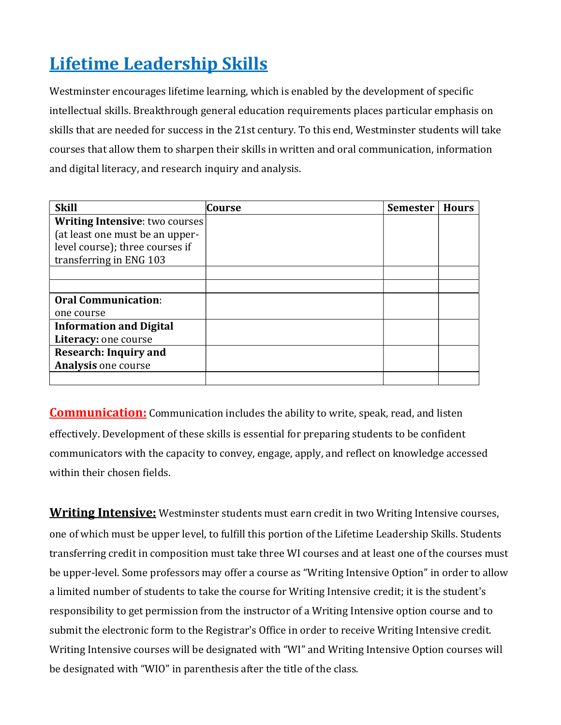# Lifetime Leadership Skills

Westminster encourages lifetime learning, which is enabled by the development of specific intellectual skills. Breakthrough general education requirements places particular emphasis on skills that are needed for success in the 21st century. To this end, Westminster students will take courses that allow them to sharpen their skills in written and oral communication, information and digital literacy, and research inquiry and analysis.

| <b>Skill</b>                          | Course | <b>Semester</b> | <b>Hours</b> |
|---------------------------------------|--------|-----------------|--------------|
| <b>Writing Intensive:</b> two courses |        |                 |              |
| (at least one must be an upper-       |        |                 |              |
| level course); three courses if       |        |                 |              |
| transferring in ENG 103               |        |                 |              |
|                                       |        |                 |              |
|                                       |        |                 |              |
| <b>Oral Communication:</b>            |        |                 |              |
| one course                            |        |                 |              |
| <b>Information and Digital</b>        |        |                 |              |
| Literacy: one course                  |        |                 |              |
| <b>Research: Inquiry and</b>          |        |                 |              |
| <b>Analysis one course</b>            |        |                 |              |
|                                       |        |                 |              |

**Communication:** Communication includes the ability to write, speak, read, and listen effectively. Development of these skills is essential for preparing students to be confident communicators with the capacity to convey, engage, apply, and reflect on knowledge accessed within their chosen fields.

**Writing Intensive:** Westminster students must earn credit in two Writing Intensive courses, one of which must be upper level, to fulfill this portion of the Lifetime Leadership Skills. Students transferring credit in composition must take three WI courses and at least one of the courses must be upper-level. Some professors may offer a course as "Writing Intensive Option" in order to allow a limited number of students to take the course for Writing Intensive credit; it is the student's responsibility to get permission from the instructor of a Writing Intensive option course and to submit the electronic form to the Registrar's Office in order to receive Writing Intensive credit. Writing Intensive courses will be designated with "WI" and Writing Intensive Option courses will be designated with "WIO" in parenthesis after the title of the class.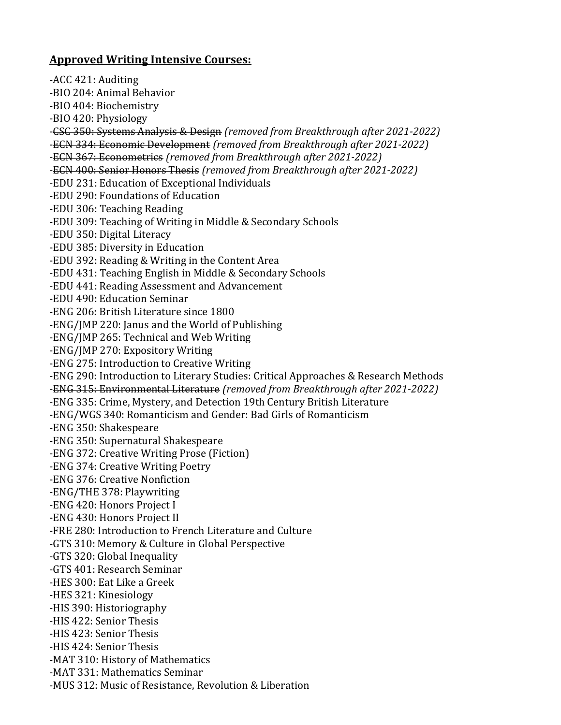#### Approved Writing Intensive Courses:

-ACC 421: Auditing -BIO 204: Animal Behavior -BIO 404: Biochemistry -BIO 420: Physiology -CSC 350: Systems Analysis & Design (removed from Breakthrough after 2021-2022) -ECN 334: Economic Development (removed from Breakthrough after 2021-2022) -ECN 367: Econometrics (removed from Breakthrough after 2021-2022) -ECN 400: Senior Honors Thesis (removed from Breakthrough after 2021-2022) -EDU 231: Education of Exceptional Individuals -EDU 290: Foundations of Education -EDU 306: Teaching Reading -EDU 309: Teaching of Writing in Middle & Secondary Schools -EDU 350: Digital Literacy -EDU 385: Diversity in Education -EDU 392: Reading & Writing in the Content Area -EDU 431: Teaching English in Middle & Secondary Schools -EDU 441: Reading Assessment and Advancement -EDU 490: Education Seminar -ENG 206: British Literature since 1800 -ENG/JMP 220: Janus and the World of Publishing -ENG/JMP 265: Technical and Web Writing -ENG/JMP 270: Expository Writing -ENG 275: Introduction to Creative Writing -ENG 290: Introduction to Literary Studies: Critical Approaches & Research Methods -ENG 315: Environmental Literature (removed from Breakthrough after 2021-2022) -ENG 335: Crime, Mystery, and Detection 19th Century British Literature -ENG/WGS 340: Romanticism and Gender: Bad Girls of Romanticism -ENG 350: Shakespeare -ENG 350: Supernatural Shakespeare -ENG 372: Creative Writing Prose (Fiction) -ENG 374: Creative Writing Poetry -ENG 376: Creative Nonfiction -ENG/THE 378: Playwriting -ENG 420: Honors Project I -ENG 430: Honors Project II -FRE 280: Introduction to French Literature and Culture -GTS 310: Memory & Culture in Global Perspective -GTS 320: Global Inequality -GTS 401: Research Seminar -HES 300: Eat Like a Greek -HES 321: Kinesiology -HIS 390: Historiography -HIS 422: Senior Thesis -HIS 423: Senior Thesis -HIS 424: Senior Thesis -MAT 310: History of Mathematics -MAT 331: Mathematics Seminar -MUS 312: Music of Resistance, Revolution & Liberation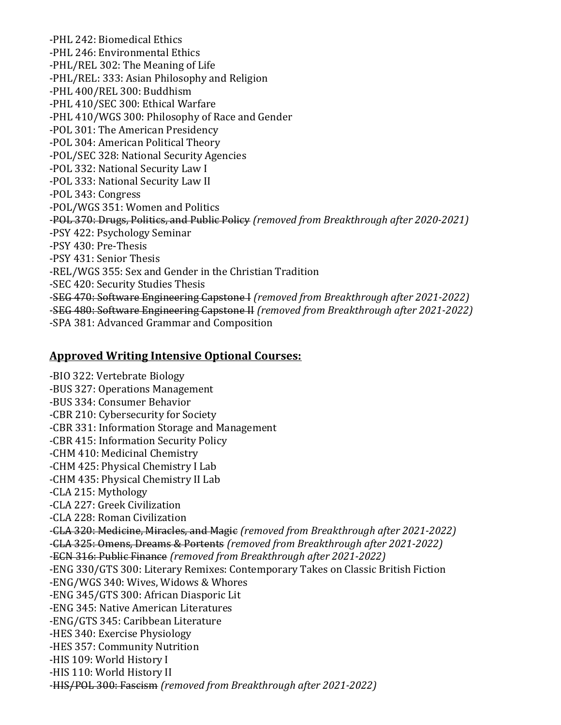-PHL 242: Biomedical Ethics -PHL 246: Environmental Ethics -PHL/REL 302: The Meaning of Life -PHL/REL: 333: Asian Philosophy and Religion -PHL 400/REL 300: Buddhism -PHL 410/SEC 300: Ethical Warfare -PHL 410/WGS 300: Philosophy of Race and Gender -POL 301: The American Presidency -POL 304: American Political Theory -POL/SEC 328: National Security Agencies -POL 332: National Security Law I -POL 333: National Security Law II -POL 343: Congress -POL/WGS 351: Women and Politics -POL 370: Drugs, Politics, and Public Policy (removed from Breakthrough after 2020-2021) -PSY 422: Psychology Seminar -PSY 430: Pre-Thesis -PSY 431: Senior Thesis -REL/WGS 355: Sex and Gender in the Christian Tradition -SEC 420: Security Studies Thesis -SEG 470: Software Engineering Capstone I (removed from Breakthrough after 2021-2022) -SEG 480: Software Engineering Capstone II (removed from Breakthrough after 2021-2022) -SPA 381: Advanced Grammar and Composition

#### Approved Writing Intensive Optional Courses:

-BIO 322: Vertebrate Biology -BUS 327: Operations Management -BUS 334: Consumer Behavior -CBR 210: Cybersecurity for Society -CBR 331: Information Storage and Management -CBR 415: Information Security Policy -CHM 410: Medicinal Chemistry -CHM 425: Physical Chemistry I Lab -CHM 435: Physical Chemistry II Lab -CLA 215: Mythology -CLA 227: Greek Civilization -CLA 228: Roman Civilization -CLA 320: Medicine, Miracles, and Magic (removed from Breakthrough after 2021-2022) -CLA 325: Omens, Dreams & Portents (removed from Breakthrough after 2021-2022) -ECN 316: Public Finance (removed from Breakthrough after 2021-2022) -ENG 330/GTS 300: Literary Remixes: Contemporary Takes on Classic British Fiction -ENG/WGS 340: Wives, Widows & Whores -ENG 345/GTS 300: African Diasporic Lit -ENG 345: Native American Literatures -ENG/GTS 345: Caribbean Literature -HES 340: Exercise Physiology -HES 357: Community Nutrition -HIS 109: World History I -HIS 110: World History II -HIS/POL 300: Fascism (removed from Breakthrough after 2021-2022)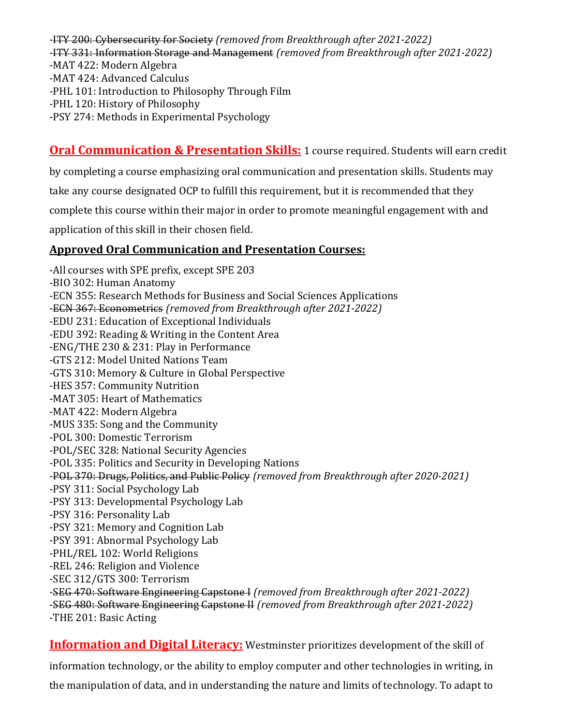-ITY 200: Cybersecurity for Society (removed from Breakthrough after 2021-2022) -ITY 331: Information Storage and Management (removed from Breakthrough after 2021-2022) -MAT 422: Modern Algebra -MAT 424: Advanced Calculus -PHL 101: Introduction to Philosophy Through Film -PHL 120: History of Philosophy

-PSY 274: Methods in Experimental Psychology

# **Oral Communication & Presentation Skills:** 1 course required. Students will earn credit

by completing a course emphasizing oral communication and presentation skills. Students may

take any course designated OCP to fulfill this requirement, but it is recommended that they

complete this course within their major in order to promote meaningful engagement with and

application of this skill in their chosen field.

## Approved Oral Communication and Presentation Courses:

-All courses with SPE prefix, except SPE 203 -BIO 302: Human Anatomy -ECN 355: Research Methods for Business and Social Sciences Applications -ECN 367: Econometrics (removed from Breakthrough after 2021-2022) -EDU 231: Education of Exceptional Individuals -EDU 392: Reading & Writing in the Content Area -ENG/THE 230 & 231: Play in Performance -GTS 212: Model United Nations Team -GTS 310: Memory & Culture in Global Perspective -HES 357: Community Nutrition -MAT 305: Heart of Mathematics -MAT 422: Modern Algebra -MUS 335: Song and the Community -POL 300: Domestic Terrorism -POL/SEC 328: National Security Agencies -POL 335: Politics and Security in Developing Nations -POL 370: Drugs, Politics, and Public Policy (removed from Breakthrough after 2020-2021) -PSY 311: Social Psychology Lab -PSY 313: Developmental Psychology Lab -PSY 316: Personality Lab -PSY 321: Memory and Cognition Lab -PSY 391: Abnormal Psychology Lab -PHL/REL 102: World Religions -REL 246: Religion and Violence -SEC 312/GTS 300: Terrorism -SEG 470: Software Engineering Capstone I (removed from Breakthrough after 2021-2022) -SEG 480: Software Engineering Capstone II (removed from Breakthrough after 2021-2022) -THE 201: Basic Acting

Information and Digital Literacy: Westminster prioritizes development of the skill of information technology, or the ability to employ computer and other technologies in writing, in the manipulation of data, and in understanding the nature and limits of technology. To adapt to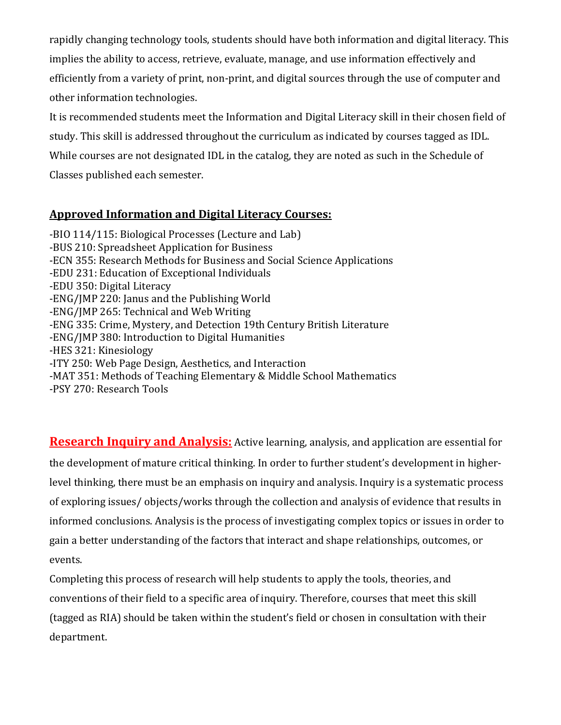rapidly changing technology tools, students should have both information and digital literacy. This implies the ability to access, retrieve, evaluate, manage, and use information effectively and efficiently from a variety of print, non-print, and digital sources through the use of computer and other information technologies.

It is recommended students meet the Information and Digital Literacy skill in their chosen field of study. This skill is addressed throughout the curriculum as indicated by courses tagged as IDL. While courses are not designated IDL in the catalog, they are noted as such in the Schedule of Classes published each semester.

## Approved Information and Digital Literacy Courses:

-BIO 114/115: Biological Processes (Lecture and Lab) -BUS 210: Spreadsheet Application for Business -ECN 355: Research Methods for Business and Social Science Applications -EDU 231: Education of Exceptional Individuals -EDU 350: Digital Literacy -ENG/JMP 220: Janus and the Publishing World -ENG/JMP 265: Technical and Web Writing -ENG 335: Crime, Mystery, and Detection 19th Century British Literature -ENG/JMP 380: Introduction to Digital Humanities -HES 321: Kinesiology -ITY 250: Web Page Design, Aesthetics, and Interaction -MAT 351: Methods of Teaching Elementary & Middle School Mathematics -PSY 270: Research Tools

Research Inquiry and Analysis: Active learning, analysis, and application are essential for the development of mature critical thinking. In order to further student's development in higherlevel thinking, there must be an emphasis on inquiry and analysis. Inquiry is a systematic process of exploring issues/ objects/works through the collection and analysis of evidence that results in informed conclusions. Analysis is the process of investigating complex topics or issues in order to gain a better understanding of the factors that interact and shape relationships, outcomes, or events.

Completing this process of research will help students to apply the tools, theories, and conventions of their field to a specific area of inquiry. Therefore, courses that meet this skill (tagged as RIA) should be taken within the student's field or chosen in consultation with their department.